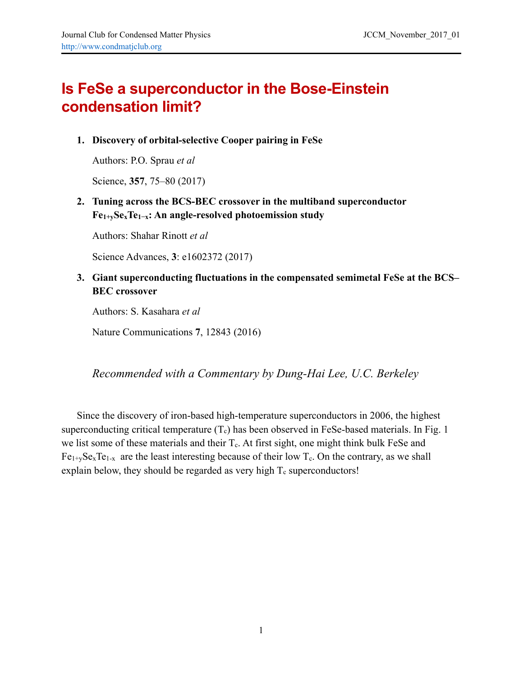## **Is FeSe a superconductor in the Bose-Einstein condensation limit?**

**1. Discovery of orbital-selective Cooper pairing in FeSe** 

Authors: P.O. Sprau *et al*

Science, **357**, 75–80 (2017)

## **2. Tuning across the BCS-BEC crossover in the multiband superconductor Fe1+ySexTe1−x: An angle-resolved photoemission study**

Authors: Shahar Rinott *et al*

Science Advances, **3**: e1602372 (2017)

## **3. Giant superconducting fluctuations in the compensated semimetal FeSe at the BCS– BEC crossover**

Authors: S. Kasahara *et al*

Nature Communications **7**, 12843 (2016)

*Recommended with a Commentary by Dung-Hai Lee, U.C. Berkeley* 

Since the discovery of iron-based high-temperature superconductors in 2006, the highest superconducting critical temperature  $(T_c)$  has been observed in FeSe-based materials. In Fig. 1 we list some of these materials and their  $T_c$ . At first sight, one might think bulk FeSe and  $Fe<sub>1+v</sub>Se<sub>x</sub>Te<sub>1-x</sub>$  are the least interesting because of their low T<sub>c</sub>. On the contrary, as we shall explain below, they should be regarded as very high  $T_c$  superconductors!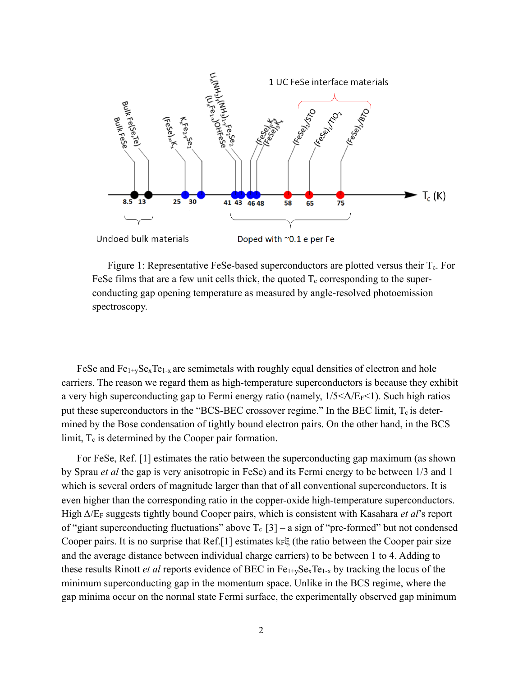

Figure 1: Representative FeSe-based superconductors are plotted versus their T<sub>c</sub>. For FeSe films that are a few unit cells thick, the quoted  $T_c$  corresponding to the superconducting gap opening temperature as measured by angle-resolved photoemission spectroscopy.

FeSe and  $Fe_{1+y}Se_xTe_{1-x}$  are semimetals with roughly equal densities of electron and hole carriers. The reason we regard them as high-temperature superconductors is because they exhibit a very high superconducting gap to Fermi energy ratio (namely,  $1/5 < \Delta/E_F < 1$ ). Such high ratios put these superconductors in the "BCS-BEC crossover regime." In the BEC limit,  $T_c$  is determined by the Bose condensation of tightly bound electron pairs. On the other hand, in the BCS limit,  $T_c$  is determined by the Cooper pair formation.

For FeSe, Ref. [1] estimates the ratio between the superconducting gap maximum (as shown by Sprau *et al* the gap is very anisotropic in FeSe) and its Fermi energy to be between 1/3 and 1 which is several orders of magnitude larger than that of all conventional superconductors. It is even higher than the corresponding ratio in the copper-oxide high-temperature superconductors. High Δ/EF suggests tightly bound Cooper pairs, which is consistent with Kasahara *et al*'s report of "giant superconducting fluctuations" above  $T_c$  [3] – a sign of "pre-formed" but not condensed Cooper pairs. It is no surprise that Ref.[1] estimates  $k_F \xi$  (the ratio between the Cooper pair size and the average distance between individual charge carriers) to be between 1 to 4. Adding to these results Rinott *et al* reports evidence of BEC in  $Fe_{1+v}Se_xTe_{1-x}$  by tracking the locus of the minimum superconducting gap in the momentum space. Unlike in the BCS regime, where the gap minima occur on the normal state Fermi surface, the experimentally observed gap minimum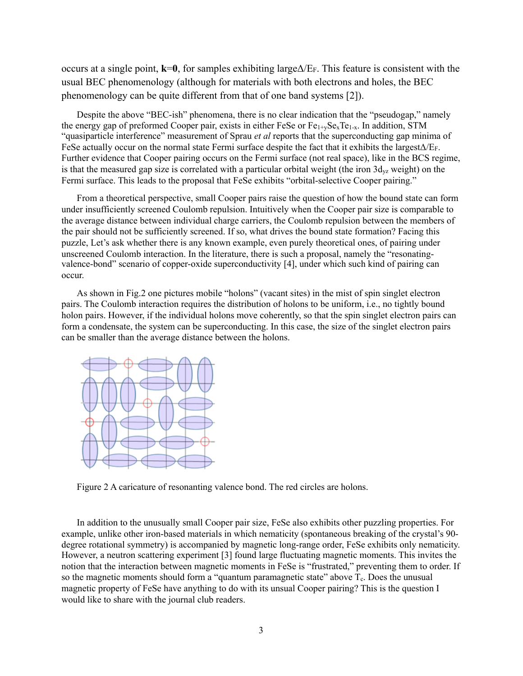occurs at a single point, **k**=**0**, for samples exhibiting largeΔ/EF. This feature is consistent with the usual BEC phenomenology (although for materials with both electrons and holes, the BEC phenomenology can be quite different from that of one band systems [2]).

Despite the above "BEC-ish" phenomena, there is no clear indication that the "pseudogap," namely the energy gap of preformed Cooper pair, exists in either FeSe or  $Fe_{1+x}Se_xTe_{1-x}$ . In addition, STM "quasiparticle interference" measurement of Sprau *et al* reports that the superconducting gap minima of FeSe actually occur on the normal state Fermi surface despite the fact that it exhibits the largest $\Delta/E_F$ . Further evidence that Cooper pairing occurs on the Fermi surface (not real space), like in the BCS regime, is that the measured gap size is correlated with a particular orbital weight (the iron  $3d_{yz}$  weight) on the Fermi surface. This leads to the proposal that FeSe exhibits "orbital-selective Cooper pairing."

From a theoretical perspective, small Cooper pairs raise the question of how the bound state can form under insufficiently screened Coulomb repulsion. Intuitively when the Cooper pair size is comparable to the average distance between individual charge carriers, the Coulomb repulsion between the members of the pair should not be sufficiently screened. If so, what drives the bound state formation? Facing this puzzle, Let's ask whether there is any known example, even purely theoretical ones, of pairing under unscreened Coulomb interaction. In the literature, there is such a proposal, namely the "resonatingvalence-bond" scenario of copper-oxide superconductivity [4], under which such kind of pairing can occur.

As shown in Fig.2 one pictures mobile "holons" (vacant sites) in the mist of spin singlet electron pairs. The Coulomb interaction requires the distribution of holons to be uniform, i.e., no tightly bound holon pairs. However, if the individual holons move coherently, so that the spin singlet electron pairs can form a condensate, the system can be superconducting. In this case, the size of the singlet electron pairs can be smaller than the average distance between the holons.



Figure 2 A caricature of resonanting valence bond. The red circles are holons.

In addition to the unusually small Cooper pair size, FeSe also exhibits other puzzling properties. For example, unlike other iron-based materials in which nematicity (spontaneous breaking of the crystal's 90 degree rotational symmetry) is accompanied by magnetic long-range order, FeSe exhibits only nematicity. However, a neutron scattering experiment [3] found large fluctuating magnetic moments. This invites the notion that the interaction between magnetic moments in FeSe is "frustrated," preventing them to order. If so the magnetic moments should form a "quantum paramagnetic state" above  $T_c$ . Does the unusual magnetic property of FeSe have anything to do with its unsual Cooper pairing? This is the question I would like to share with the journal club readers.